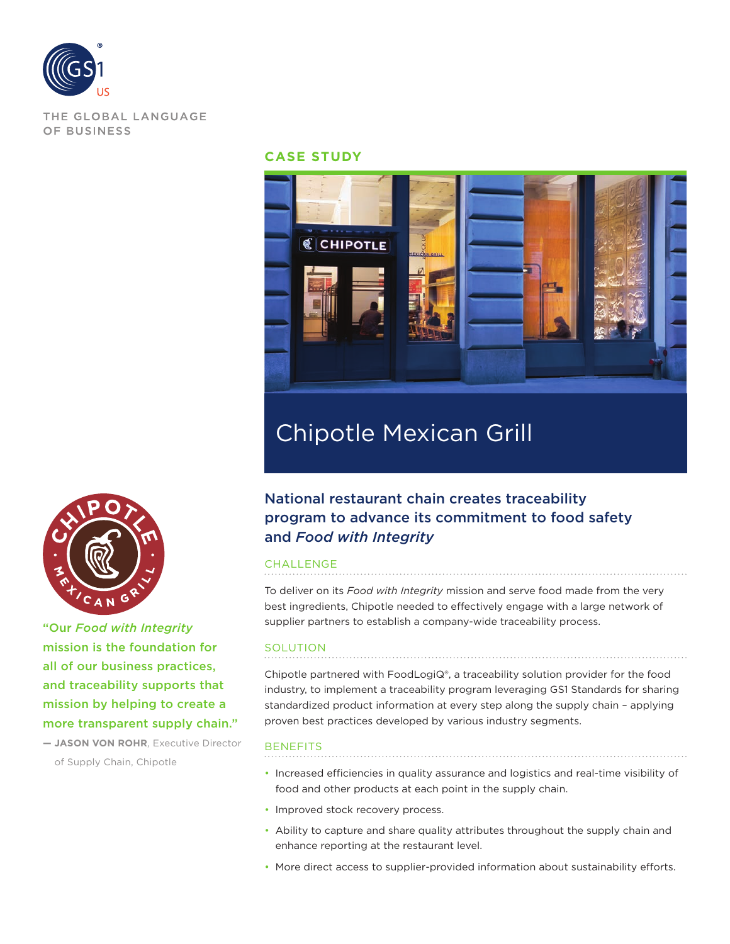

THE GLOBAL LANGUAGE OF BUSINESS

#### **CASE STUDY**



# Chipotle Mexican Grill

# National restaurant chain creates traceability program to advance its commitment to food safety and *Food with Integrity*

#### CHALLENGE

To deliver on its *Food with Integrity* mission and serve food made from the very best ingredients, Chipotle needed to effectively engage with a large network of supplier partners to establish a company-wide traceability process.

#### SOLUTION

Chipotle partnered with FoodLogiQ®, a traceability solution provider for the food industry, to implement a traceability program leveraging GS1 Standards for sharing standardized product information at every step along the supply chain – applying proven best practices developed by various industry segments.

#### **BENEFITS**

- Increased efficiencies in quality assurance and logistics and real-time visibility of food and other products at each point in the supply chain.
- Improved stock recovery process.
- Ability to capture and share quality attributes throughout the supply chain and enhance reporting at the restaurant level.
- More direct access to supplier-provided information about sustainability efforts.



"Our *Food with Integrity* mission is the foundation for all of our business practices, and traceability supports that mission by helping to create a more transparent supply chain."

**— JASON VON ROHR**, Executive Director of Supply Chain, Chipotle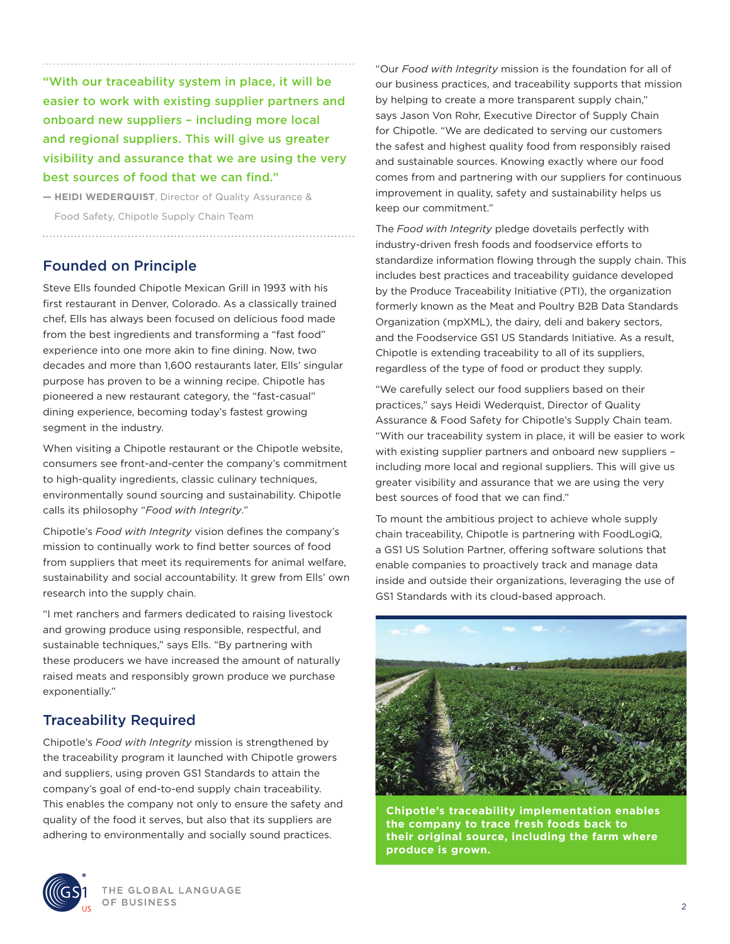"With our traceability system in place, it will be easier to work with existing supplier partners and onboard new suppliers – including more local and regional suppliers. This will give us greater visibility and assurance that we are using the very best sources of food that we can find."

**— HEIDI WEDERQUIST**, Director of Quality Assurance & Food Safety, Chipotle Supply Chain Team

## Founded on Principle

Steve Ells founded Chipotle Mexican Grill in 1993 with his first restaurant in Denver, Colorado. As a classically trained chef, Ells has always been focused on delicious food made from the best ingredients and transforming a "fast food" experience into one more akin to fine dining. Now, two decades and more than 1,600 restaurants later, Ells' singular purpose has proven to be a winning recipe. Chipotle has pioneered a new restaurant category, the "fast-casual" dining experience, becoming today's fastest growing segment in the industry.

When visiting a Chipotle restaurant or the Chipotle website, consumers see front-and-center the company's commitment to high-quality ingredients, classic culinary techniques, environmentally sound sourcing and sustainability. Chipotle calls its philosophy "*Food with Integrity*."

Chipotle's *Food with Integrity* vision defines the company's mission to continually work to find better sources of food from suppliers that meet its requirements for animal welfare, sustainability and social accountability. It grew from Ells' own research into the supply chain.

"I met ranchers and farmers dedicated to raising livestock and growing produce using responsible, respectful, and sustainable techniques," says Ells. "By partnering with these producers we have increased the amount of naturally raised meats and responsibly grown produce we purchase exponentially."

# Traceability Required

Chipotle's *Food with Integrity* mission is strengthened by the traceability program it launched with Chipotle growers and suppliers, using proven GS1 Standards to attain the company's goal of end-to-end supply chain traceability. This enables the company not only to ensure the safety and quality of the food it serves, but also that its suppliers are adhering to environmentally and socially sound practices.



The *Food with Integrity* pledge dovetails perfectly with industry-driven fresh foods and foodservice efforts to standardize information flowing through the supply chain. This includes best practices and traceability guidance developed by the Produce Traceability Initiative (PTI), the organization formerly known as the Meat and Poultry B2B Data Standards Organization (mpXML), the dairy, deli and bakery sectors, and the Foodservice GS1 US Standards Initiative. As a result, Chipotle is extending traceability to all of its suppliers, regardless of the type of food or product they supply.

"We carefully select our food suppliers based on their practices," says Heidi Wederquist, Director of Quality Assurance & Food Safety for Chipotle's Supply Chain team. "With our traceability system in place, it will be easier to work with existing supplier partners and onboard new suppliers – including more local and regional suppliers. This will give us greater visibility and assurance that we are using the very best sources of food that we can find."

To mount the ambitious project to achieve whole supply chain traceability, Chipotle is partnering with FoodLogiQ, a GS1 US Solution Partner, offering software solutions that enable companies to proactively track and manage data inside and outside their organizations, leveraging the use of GS1 Standards with its cloud-based approach.



**Chipotle's traceability implementation enables the company to trace fresh foods back to their original source, including the farm where produce is grown.**

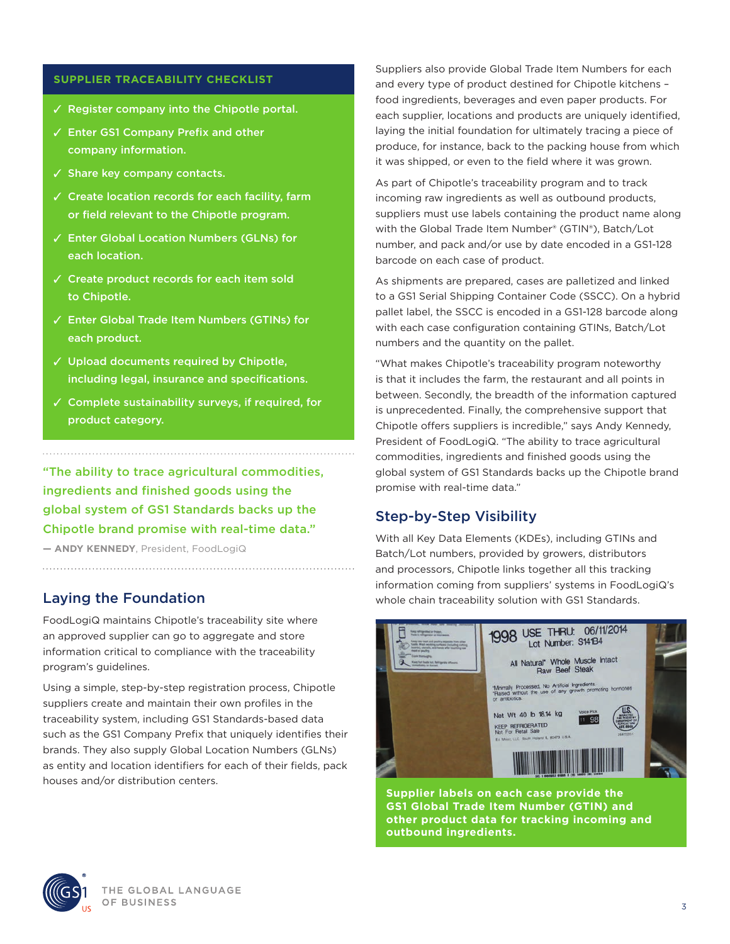#### **SUPPLIER TRACEABILITY CHECKLIST**

- ✓ Register company into the Chipotle portal.
- ✓ Enter GS1 Company Prefix and other company information.
- ✓ Share key company contacts.
- ✓ Create location records for each facility, farm or field relevant to the Chipotle program.
- ✓ Enter Global Location Numbers (GLNs) for each location.
- ✓ Create product records for each item sold to Chipotle.
- ✓ Enter Global Trade Item Numbers (GTINs) for each product.
- ✓ Upload documents required by Chipotle, including legal, insurance and specifications.
- ✓ Complete sustainability surveys, if required, for product category.

"The ability to trace agricultural commodities, ingredients and finished goods using the global system of GS1 Standards backs up the Chipotle brand promise with real-time data."

**— ANDY KENNEDY**, President, FoodLogiQ

## Laying the Foundation

FoodLogiQ maintains Chipotle's traceability site where an approved supplier can go to aggregate and store information critical to compliance with the traceability program's guidelines.

Using a simple, step-by-step registration process, Chipotle suppliers create and maintain their own profiles in the traceability system, including GS1 Standards-based data such as the GS1 Company Prefix that uniquely identifies their brands. They also supply Global Location Numbers (GLNs) as entity and location identifiers for each of their fields, pack houses and/or distribution centers.

Suppliers also provide Global Trade Item Numbers for each and every type of product destined for Chipotle kitchens – food ingredients, beverages and even paper products. For each supplier, locations and products are uniquely identified, laying the initial foundation for ultimately tracing a piece of produce, for instance, back to the packing house from which it was shipped, or even to the field where it was grown.

As part of Chipotle's traceability program and to track incoming raw ingredients as well as outbound products, suppliers must use labels containing the product name along with the Global Trade Item Number® (GTIN®), Batch/Lot number, and pack and/or use by date encoded in a GS1-128 barcode on each case of product.

As shipments are prepared, cases are palletized and linked to a GS1 Serial Shipping Container Code (SSCC). On a hybrid pallet label, the SSCC is encoded in a GS1-128 barcode along with each case configuration containing GTINs, Batch/Lot numbers and the quantity on the pallet.

"What makes Chipotle's traceability program noteworthy is that it includes the farm, the restaurant and all points in between. Secondly, the breadth of the information captured is unprecedented. Finally, the comprehensive support that Chipotle offers suppliers is incredible," says Andy Kennedy, President of FoodLogiQ. "The ability to trace agricultural commodities, ingredients and finished goods using the global system of GS1 Standards backs up the Chipotle brand promise with real-time data."

## Step-by-Step Visibility

With all Key Data Elements (KDEs), including GTINs and Batch/Lot numbers, provided by growers, distributors and processors, Chipotle links together all this tracking information coming from suppliers' systems in FoodLogiQ's whole chain traceability solution with GS1 Standards.



**Supplier labels on each case provide the GS1 Global Trade Item Number (GTIN) and other product data for tracking incoming and outbound ingredients.**

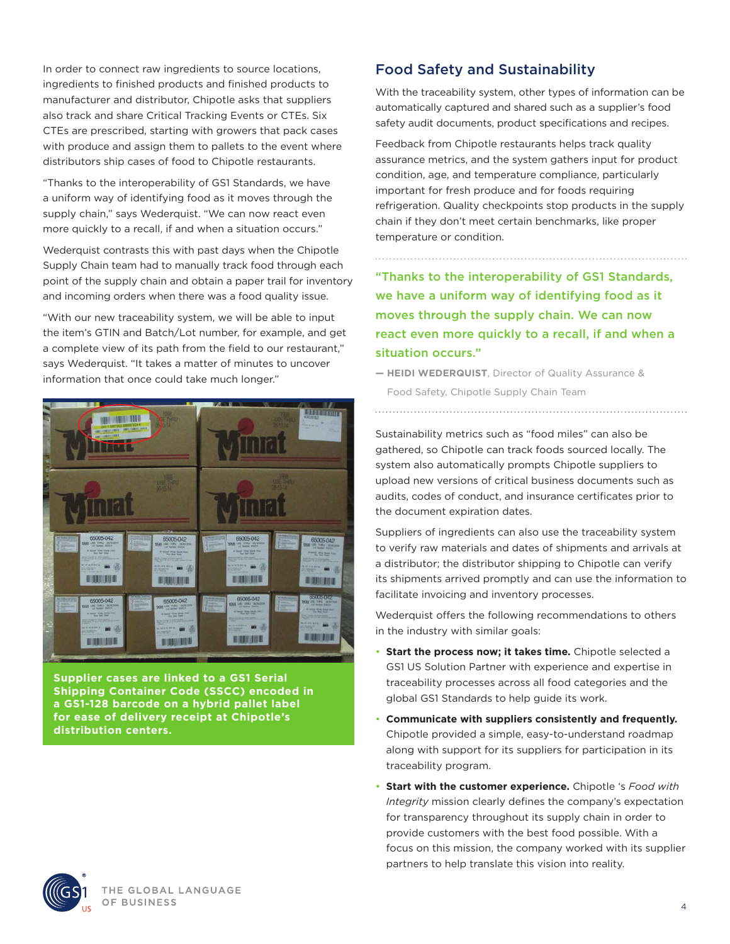In order to connect raw ingredients to source locations, ingredients to finished products and finished products to manufacturer and distributor, Chipotle asks that suppliers also track and share Critical Tracking Events or CTEs. Six CTEs are prescribed, starting with growers that pack cases with produce and assign them to pallets to the event where distributors ship cases of food to Chipotle restaurants.

"Thanks to the interoperability of GS1 Standards, we have a uniform way of identifying food as it moves through the supply chain," says Wederquist. "We can now react even more quickly to a recall, if and when a situation occurs."

Wederquist contrasts this with past days when the Chipotle Supply Chain team had to manually track food through each point of the supply chain and obtain a paper trail for inventory and incoming orders when there was a food quality issue.

"With our new traceability system, we will be able to input the item's GTIN and Batch/Lot number, for example, and get a complete view of its path from the field to our restaurant," says Wederquist. "It takes a matter of minutes to uncover information that once could take much longer."



**Supplier cases are linked to a GS1 Serial Shipping Container Code (SSCC) encoded in a GS1-128 barcode on a hybrid pallet label for ease of delivery receipt at Chipotle's distribution centers.**

## Food Safety and Sustainability

With the traceability system, other types of information can be automatically captured and shared such as a supplier's food safety audit documents, product specifications and recipes.

Feedback from Chipotle restaurants helps track quality assurance metrics, and the system gathers input for product condition, age, and temperature compliance, particularly important for fresh produce and for foods requiring refrigeration. Quality checkpoints stop products in the supply chain if they don't meet certain benchmarks, like proper temperature or condition.

"Thanks to the interoperability of GS1 Standards, we have a uniform way of identifying food as it moves through the supply chain. We can now react even more quickly to a recall, if and when a situation occurs."

**— HEIDI WEDERQUIST**, Director of Quality Assurance &

Food Safety, Chipotle Supply Chain Team

Sustainability metrics such as "food miles" can also be gathered, so Chipotle can track foods sourced locally. The system also automatically prompts Chipotle suppliers to upload new versions of critical business documents such as audits, codes of conduct, and insurance certificates prior to the document expiration dates.

Suppliers of ingredients can also use the traceability system to verify raw materials and dates of shipments and arrivals at a distributor; the distributor shipping to Chipotle can verify its shipments arrived promptly and can use the information to facilitate invoicing and inventory processes.

Wederquist offers the following recommendations to others in the industry with similar goals:

- **Start the process now; it takes time.** Chipotle selected a GS1 US Solution Partner with experience and expertise in traceability processes across all food categories and the global GS1 Standards to help guide its work.
- **Communicate with suppliers consistently and frequently.** Chipotle provided a simple, easy-to-understand roadmap along with support for its suppliers for participation in its traceability program.
- **Start with the customer experience.** Chipotle 's *Food with Integrity* mission clearly defines the company's expectation for transparency throughout its supply chain in order to provide customers with the best food possible. With a focus on this mission, the company worked with its supplier partners to help translate this vision into reality.

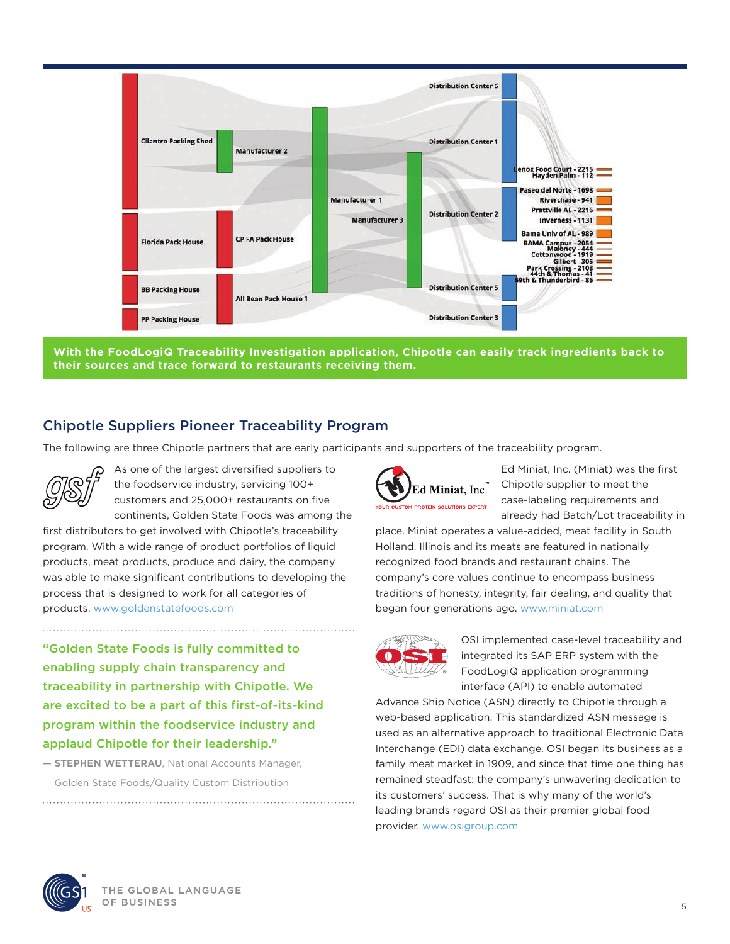

**With the FoodLogiQ Traceability Investigation application, Chipotle can easily track ingredients back to their sources and trace forward to restaurants receiving them.**

# Chipotle Suppliers Pioneer Traceability Program

The following are three Chipotle partners that are early participants and supporters of the traceability program.



As one of the largest diversified suppliers to the foodservice industry, servicing 100+ customers and 25,000+ restaurants on five continents, Golden State Foods was among the

first distributors to get involved with Chipotle's traceability program. With a wide range of product portfolios of liquid products, meat products, produce and dairy, the company was able to make significant contributions to developing the process that is designed to work for all categories of products. www.goldenstatefoods.com

"Golden State Foods is fully committed to enabling supply chain transparency and traceability in partnership with Chipotle. We are excited to be a part of this first-of-its-kind program within the foodservice industry and applaud Chipotle for their leadership."

**— STEPHEN WETTERAU**, National Accounts Manager, Golden State Foods/Quality Custom Distribution



Ed Miniat, Inc. (Miniat) was the first Chipotle supplier to meet the case-labeling requirements and already had Batch/Lot traceability in

place. Miniat operates a value-added, meat facility in South Holland, Illinois and its meats are featured in nationally recognized food brands and restaurant chains. The company's core values continue to encompass business traditions of honesty, integrity, fair dealing, and quality that began four generations ago. [www.miniat.com](http://www.miniat.com)



OSI implemented case-level traceability and integrated its SAP ERP system with the FoodLogiQ application programming interface (API) to enable automated

Advance Ship Notice (ASN) directly to Chipotle through a web-based application. This standardized ASN message is used as an alternative approach to traditional Electronic Data Interchange (EDI) data exchange. OSI began its business as a family meat market in 1909, and since that time one thing has remained steadfast: the company's unwavering dedication to its customers' success. That is why many of the world's leading brands regard OSI as their premier global food provider. [www.osigroup.com](http://www.osigroup.com)